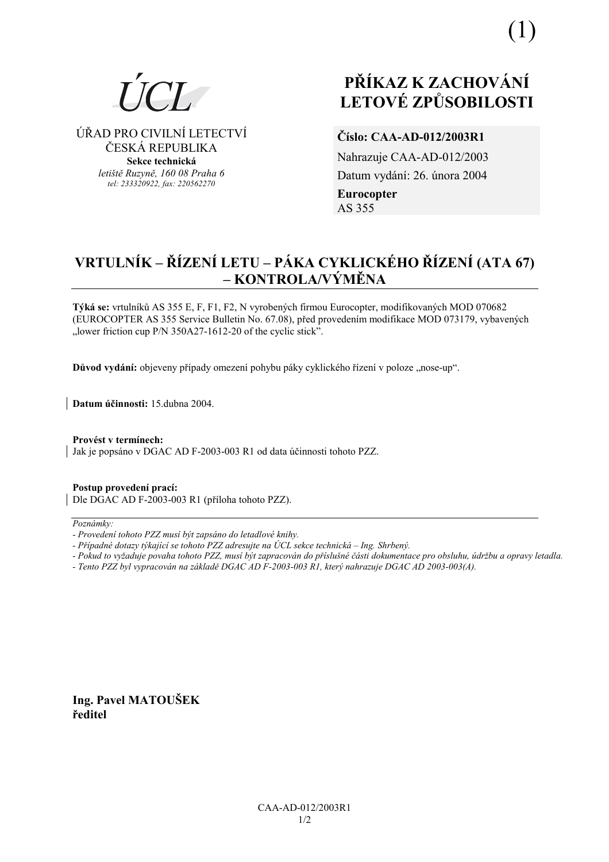

#### ⁄ŘAD PRO CIVILNÕ LETECTVÕ ČESKÁ REPUBLIKA **Sekce technická** *letiötě Ruzyně, 160 08 Praha 6 tel: 233320922, fax: 220562270*

# **PŘÍKAZ K ZACHOVÁNÍ LETOV… ZPŮSOBILOSTI**

## **ČÌslo: CAA-AD-012/2003R1**

Nahrazuje CAA-AD-012/2003 Datum vydání: 26. února 2004 **Eurocopter**  AS 355

## **VRTULNÍK – ŘÍZENÍ LETU – PÁKA CYKLICKÉHO ŘÍZENÍ (ATA 67) ñ KONTROLA/V›MĚNA**

Týká se: vrtulníků AS 355 E, F, F1, F2, N vyrobených firmou Eurocopter, modifikovaných MOD 070682 (EUROCOPTER AS 355 Service Bulletin No. 67.08), před provedením modifikace MOD 073179, vybavených  $\therefore$ lower friction cup P/N 350A27-1612-20 of the cyclic stick<sup>7</sup>.

Důvod vydání: objeveny případy omezení pohybu páky cyklického řízení v poloze "nose-up".

**Datum ˙činnosti:** 15.dubna 2004.

Provést v termínech: Jak je popsáno v DGAC AD F-2003-003 R1 od data účinnosti tohoto PZZ.

**Postup provedenÌ pracÌ:**  Dle DGAC AD F-2003-003 R1 (přÌloha tohoto PZZ).

#### $Poznámkv:$

- *Pokud to vyûaduje povaha tohoto PZZ, musÌ b˝t zapracov·n do přÌsluönÈ č·sti dokumentace pro obsluhu, ˙drûbu a opravy letadla.*
- *Tento PZZ byl vypracov·n na z·kladě DGAC AD F-2003-003 R1, kter˝ nahrazuje DGAC AD 2003-003(A).*

**Ing. Pavel MATOUäEK ředitel**

*<sup>-</sup> ProvedenÌ tohoto PZZ musÌ b˝t zaps·no do letadlovÈ knihy.* 

<sup>-</sup> Případné dotazy týkající se tohoto PZZ adresujte na ÚCL sekce technická – Ing. Shrbený.